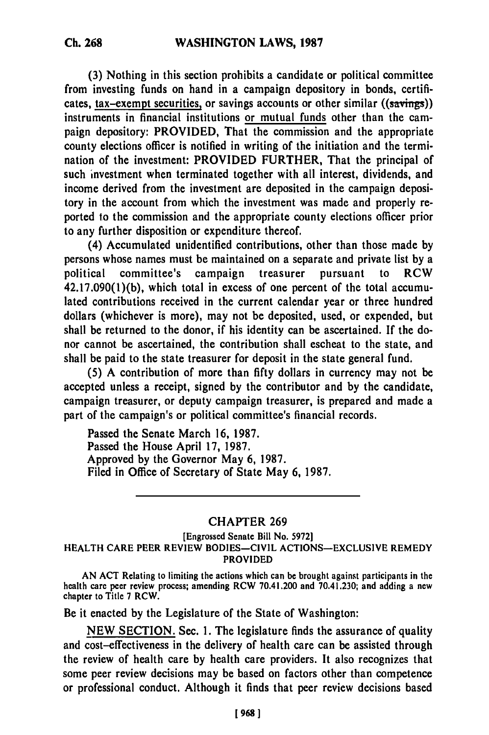**(3)** Nothing in this section prohibits a candidate or political committee from investing funds on hand in a campaign depository in bonds, certificates, tax-exempt securities, or savings accounts or other similar ((savings)) instruments in financial institutions or mutual funds other than the campaign depository: PROVIDED, That the commission and the appropriate county elections officer is notified in writing of the initiation and the termination of the investment: PROVIDED FURTHER, That the principal of such investment when terminated together with all interest, dividends, and income derived from the investment are deposited in the campaign depository in the account from which the investment was made and properly reported to the commission and the appropriate county elections officer prior to any further disposition or expenditure thereof.

(4) Accumulated unidentified contributions, other than those made **by** persons whose names must be maintained on a separate and private list **by** a political committee's campaign treasurer pursuant to RCW **42.17.090(1)(b),** which total in excess of one percent of the total accumulated contributions received in the current calendar year or three hundred dollars (whichever is more), may not be deposited, used, or expended, but shall be returned to the donor, if his identity can be ascertained. **If** the donor cannot be ascertained, the contribution shall escheat to the state, and shall be paid to the state treasurer for deposit in the state general fund.

**(5) A** contribution of more than **fifty** dollars in currency may not be accepted unless a receipt, signed **by** the contributor and **by** the candidate, campaign treasurer, or deputy campaign treasurer, is prepared and made a part of the campaign's or political committee's financial records.

Passed the Senate March **16, 1987.** Passed the House April **17, 1987.** Approved **by** the Governor May **6, 1987.** Filed in Office of Secretary of State May **6, 1987.**

## CHAPTER **269**

## [Engrossed Senate Bill No. **5972] HEALTH CARE PEER REVIEW BODIES-CIVIL ACTIONS-EXCLUSIVE REMEDY PROVIDED**

**AN ACT** Relating to limiting **the** actions which can **be** brought against participants in **the** health care peer review process; amending RCW 70.41.200 and 70.41.230; and adding a new health care peer review process; amending RCW 70.41.200 and 70.41.230; and adding a new chapter to Title 7 RCW.

Be it enacted **by** the Legislature of the State of Washington:

**NEW SECTION.** Sec. **1.** The legislature finds the assurance of quality and cost-effectiveness in the delivery of health care can be assisted through the review of health care by health care providers. It also recognizes that some peer review decisions may be based on factors other than competence or professional conduct. Although it finds that peer review decisions based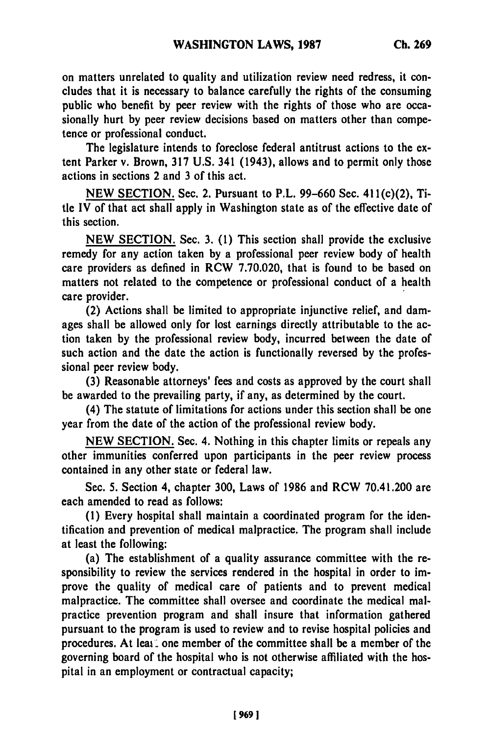on matters unrelated to quality and utilization review need redress, it concludes that it is necessary to balance carefully the rights of the consuming public who benefit **by** peer review with the rights of those who are occasionally hurt **by** peer review decisions based on matters other than competence or professional conduct.

The legislature intends to foreclose federal antitrust actions to the extent Parker v. Brown, **317 U.S.** 341 (1943), allows and to permit only those actions in sections 2 and **3** of this act.

**NEW SECTION.** Sec. 2. Pursuant to P.L. **99-660** Sec. 411(c)(2), Title IV of that act shall apply in Washington state as of the effective date of this section.

**NEW SECTION.** Sec. **3. (1)** This section shall provide the exclusive remedy for any action taken **by** a professional peer review body of health care providers as defined in RCW 7.70.020, that is found to be based on matters not related to the competence or professional conduct of a health care provider.

(2) Actions shall be limited to appropriate injunctive relief, and damages shall be allowed only for lost earnings directly attributable to the action taken **by** the professional review body, incurred between the date of such action and the date the action is functionally reversed **by** the professional peer review body.

**(3)** Reasonable attorneys' fees and costs as approved **by** the court shall be awarded to the prevailing party, if any, as determined **by** the court.

(4) The statute of limitations for actions under this section shall be one year from the date of the action of the professional review body.

**NEW** SECTION. Sec. 4. Nothing in this chapter limits or repeals any other immunities conferred upon participants in the peer review process contained in any other state or federal law.

Sec. **5.** Section 4, chapter **300,** Laws of 1986 and RCW 70.41.200 are each amended to read as follows:

**(1)** Every hospital shall maintain a coordinated program for the identification and prevention of medical malpractice. The program shall include at least the following:

(a) The establishment of a quality assurance committee with the responsibility to review the services rendered in the hospital in order to improve the quality of medical care of patients and to prevent medical malpractice. The committee shall oversee and coordinate the medical malpractice prevention program and shall insure that information gathered pursuant to the program is used to review and to revise hospital policies and procedures. At leas, one member of the committee shall be a member of the governing board of the hospital who is not otherwise affiliated with the hospital in an employment or contractual capacity;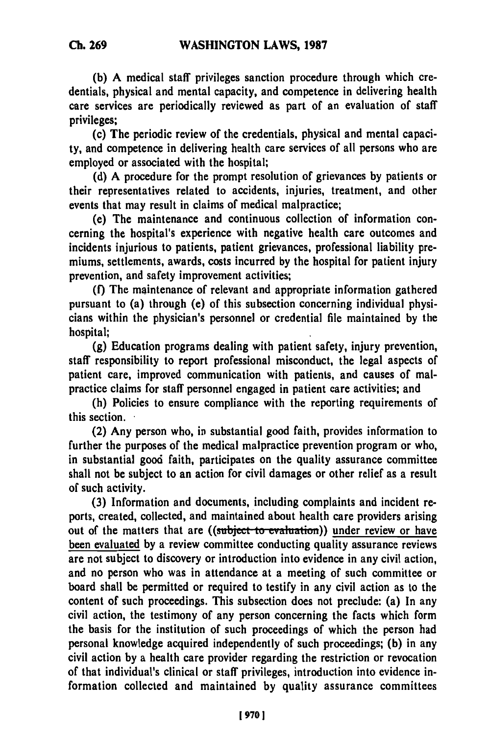**(b) A** medical staff privileges sanction procedure through which credentials, physical and mental capacity, and competence in delivering health care services are periodically reviewed as part of an evaluation of staff privileges;

(c) The periodic review of the credentials, physical and mental capacity, and competence in delivering health care services of all persons who are employed or associated with the hospital;

**(d) A** procedure for the prompt resolution of grievances **by** patients or their representatives related to accidents, injuries, treatment, and other events that may result in claims of medical malpractice;

(e) The maintenance and continuous collection of information concerning the hospital's experience with negative health care outcomes and incidents injurious to patients, patient grievances, professional liability premiums, settlements, awards, costs incurred **by** the hospital for patient injury prevention, and safety improvement activities;

**(f)** The maintenance of relevant and appropriate information gathered pursuant to (a) through (e) of this subsection concerning individual physicians within the physician's personnel or credential file maintained **by** the hospital;

**(g)** Education programs dealing with patient safety, injury prevention, staff responsibility to report professional misconduct, the legal aspects of patient care, improved communication with patients, and causes of malpractice claims for staff personnel engaged in patient care activities; and

(h) Policies to ensure compliance with the reporting requirements of this section.

(2) Any person who, in substantial good faith, provides information to further the purposes of the medical malpractice prevention program or who, in substantial good faith, participates on the quality assurance committee shall not be subject to an action for civil damages or other relief as a result of such activity.

**(3)** Information and documents, including complaints and incident reports, created, collected, and maintained about health care providers arising out of the matters that are ((subject to evaluation)) under review or have been evaluated **by** a review committee conducting quality assurance reviews are not subject to discovery or introduction into evidence in any civil action, and no person who was in attendance at a meeting of such committee or board shall be permitted or required to testify in any civil action as to the content of such proceedings. This subsection does not preclude: (a) In any civil action, the testimony of any person concerning the facts which form the basis for the institution of such proceedings of which the person had personal knowledge acquired independently of such proceedings; **(b)** in any civil action **by** a health care provider regarding the restriction or revocation of that individual's clinical or staff privileges, introduction into evidence information collected and maintained **by** quality assurance committees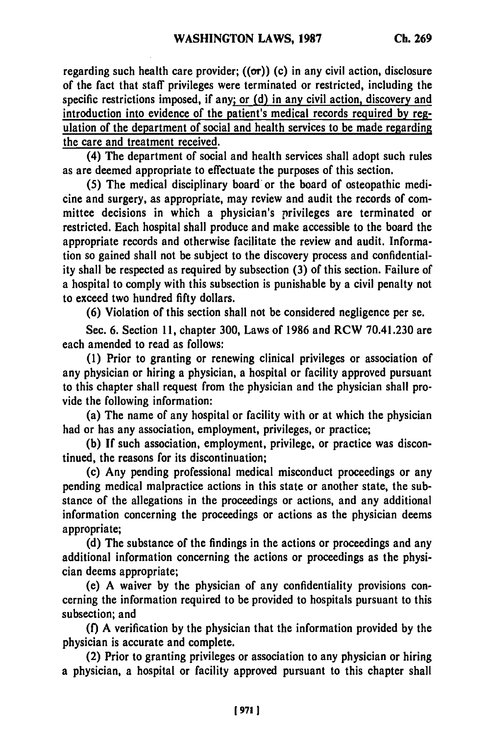regarding such health care provider;  $((\sigma r))$  (c) in any civil action, disclosure of the fact that staff privileges were terminated or restricted, including the specific restrictions imposed, if any; or **(d)** in any civil action, discovery and introduction into evidence of the patient's medical records required **by** regulation of the department of social and health services to be made regarding the care and treatment received.

(4) The department of social and health services shall adopt such rules as are deemed appropriate to effectuate the purposes of this section.

**(5)** The medical disciplinary board or the board of osteopathic medicine and surgery, as appropriate, may review and audit the records of committee decisions in which a physician's privileges are terminated or restricted. Each hospital shall produce and make accessible to the board the appropriate records and otherwise facilitate the review and audit. Information so gained shall not be subject to the discovery process and confidentiality shall be respected as required **by** subsection **(3)** of this section. Failure of a hospital to comply with this subsection is punishable **by** a civil penalty not to exceed two hundred **fifty** dollars.

**(6)** Violation of this section shall not be considered negligence per se.

Sec. **6.** Section **11,** chapter **300,** Laws of **1986** and RCW 70.41.230 are each amended to read as follows:

**(1)** Prior to granting or renewing clinical privileges or association of any physician or hiring a physician, a hospital or facility approved pursuant to this chapter shall request from the physician and the physician shall provide the following information:

(a) The name of any hospital or facility with or at which the physician had or has any association, employment, privileges, or practice;

**(b) If** such association, employment, privilege, or practice was discontinued, the reasons for its discontinuation;

(c) Any pending professional medical misconduct proceedings or any pending medical malpractice actions in this state or another state, the substance of the allegations in the proceedings or actions, and any additional information concerning the proceedings or actions as the physician deems appropriate;

**(d)** The substance of the findings in the actions or proceedings and any additional information concerning the actions or proceedings as the physician deems appropriate;

(e) **A** waiver **by** the physician of any confidentiality provisions concerning the information required to be provided to hospitals pursuant to this subsection; and

**(f) A** verification **by** the physician that the information provided **by** the physician is accurate and complete.

(2) Prior to granting privileges or association to any physician or hiring a physician, a hospital or facility approved pursuant to this chapter shall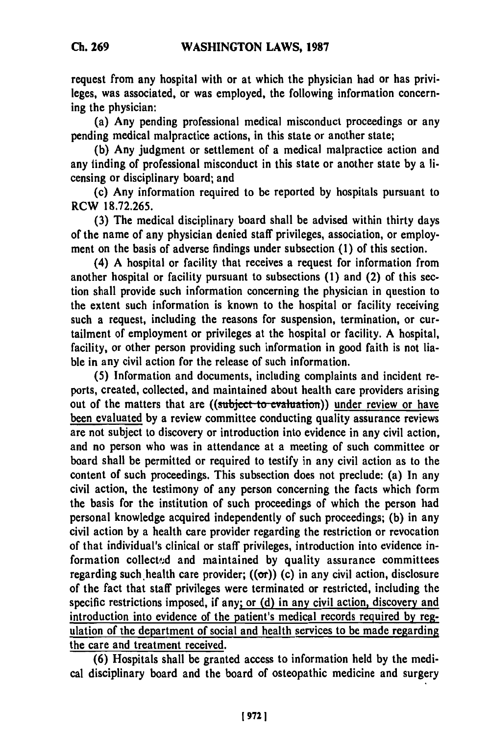request from any hospital with or at which the physician had or has privileges, was associated, or was employed, the following information concerning the physician:

(a) Any pending professional medical misconduct proceedings or any pending medical malpractice actions, in this state or another state;

**(b)** Any judgment or settlement of a medical malpractice action and any finding of professional misconduct in this state or another state **by** a licensing or disciplinary board; and

(c) Any information required to be reported **by** hospitals pursuant to RCW **18.72.265.**

**(3)** The medical disciplinary board shall be advised within thirty days of the name of any physician denied staff privileges, association, or employment on the basis of adverse findings under subsection **(1)** of this section.

(4) **A** hospital or facility that receives a request for information from another hospital or facility pursuant to subsections **(1)** and (2) of this section shall provide such information concerning the physician in question to the extent such information is known to the hospital or facility receiving such a request, including the reasons for suspension, termination, or curtailment of employment or privileges at the hospital or facility. **A** hospital, facility, or other person providing such information in good faith is not liable in any civil action for the release of such information.

**(5)** Information and documents, including complaints and incident reports, created, collected, and maintained about health care providers arising out of the matters that are ((subject to evaluation)) under review or have been evaluated **by** a review committee conducting quality assurance reviews are not subject to discovery or introduction into evidence in any civil action, and no person who was in attendance at a meeting of such committee or board shall be permitted or required to testify in any civil action as to the content of such proceedings. This subsection does not preclude: (a) In any civil action, the testimony of any person concerning the facts which form the basis for the institution of such proceedings of which the person had personal knowledge acquired independently of such proceedings; **(b)** in any civil action **by** a health care provider regarding the restriction or revocation of that individual's clinical or staff privileges, introduction into evidence information collected and maintained **by** quality assurance committees regarding such health care provider;  $((\sigma r))$  (c) in any civil action, disclosure of the fact that staff privileges were terminated or restricted, including the specific restrictions imposed, if any; or **(d)** in any civil action, discovery and introduction into evidence of the patient's medical records required **by** regulation of the department of social and health services to be made regarding the care and treatment received.

**(6)** Hospitals shall be granted access to information **held by** the medical disciplinary board and the board of osteopathic medicine and surgery

**19721**